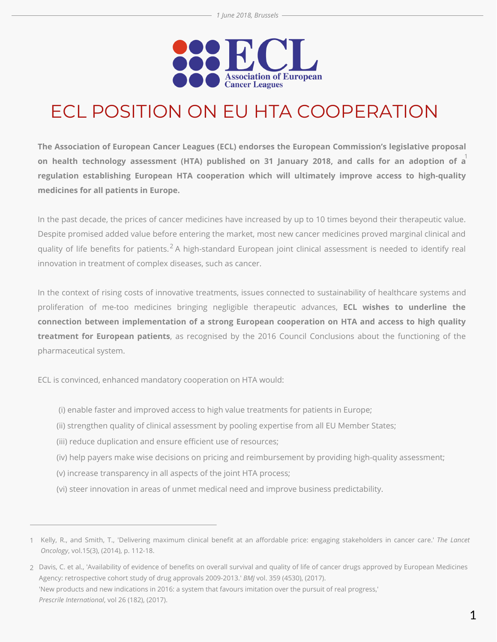

## ECL POSITION ON EU HTA COOPERATION

**The Association of European Cancer Leagues (ECL) endorses the European Commission's legislative proposal on health technology assessment (HTA) published on 31 January 2018, and calls for an adoption of a** 1 **regulation establishing European HTA cooperation which will ultimately improve access to high-quality medicines for all patients in Europe.**

In the past decade, the prices of cancer medicines have increased by up to 10 times beyond their therapeutic value. Despite promised added value before entering the market, most new cancer medicines proved marginal clinical and quality of life benefits for patients. $^2$  A high-standard European joint clinical assessment is needed to identify real innovation in treatment of complex diseases, such as cancer.

In the context of rising costs of innovative treatments, issues connected to sustainability of healthcare systems and proliferation of me-too medicines bringing negligible therapeutic advances, **ECL wishes to underline the connection between implementation of a strong European cooperation on HTA and access to high quality treatment for European patients**, as recognised by the 2016 Council Conclusions about the functioning of the pharmaceutical system.

ECL is convinced, enhanced mandatory cooperation on HTA would:

- (i) enable faster and improved access to high value treatments for patients in Europe;
- (ii) strengthen quality of clinical assessment by pooling expertise from all EU Member States;
- (iii) reduce duplication and ensure efficient use of resources;
- (iv) help payers make wise decisions on pricing and reimbursement by providing high-quality assessment;
- (v) increase transparency in all aspects of the joint HTA process;
- (vi) steer innovation in areas of unmet medical need and improve business predictability.

Kelly, R., and Smith, T., 'Delivering maximum clinical benefit at an affordable price: engaging stakeholders in cancer care.' *The Lancet* 1 *Oncology*, vol.15(3), (2014), p. 112-18.

<sup>2</sup> Davis, C. et al., 'Availability of evidence of benefits on overall survival and quality of life of cancer drugs approved by European Medicines Agency: retrospective cohort study of drug approvals 2009-2013.' *BMJ* vol. 359 (4530), (2017). 'New products and new indications in 2016: a system that favours imitation over the pursuit of real progress,' *Prescrile International*, vol 26 (182), (2017).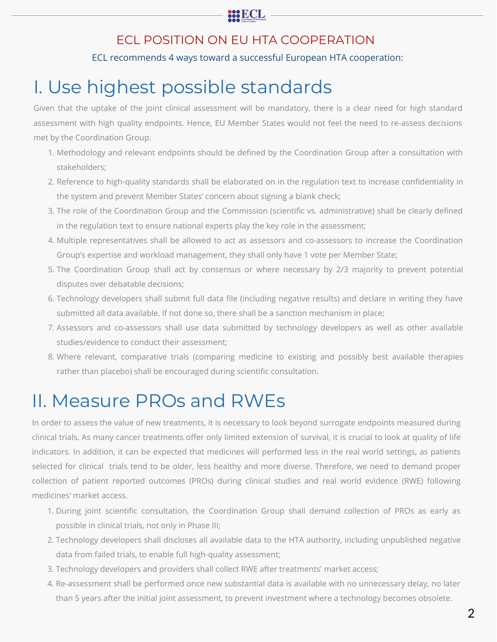#### **BBECL**

#### ECL POSITION ON EU HTA COOPERATION

#### ECL recommends 4 ways toward a successful European HTA cooperation:

### I. Use highest possible standards

Given that the uptake of the joint clinical assessment will be mandatory, there is a clear need for high standard assessment with high quality endpoints. Hence, EU Member States would not feel the need to re-assess decisions met by the Coordination Group.

- 1. Methodology and relevant endpoints should be defined by the Coordination Group after a consultation with stakeholders;
- 2. Reference to high-quality standards shall be elaborated on in the regulation text to increase confidentiality in the system and prevent Member States' concern about signing a blank check;
- 3. The role of the Coordination Group and the Commission (scientific vs. administrative) shall be clearly defined in the regulation text to ensure national experts play the key role in the assessment;
- 4. Multiple representatives shall be allowed to act as assessors and co-assessors to increase the Coordination Group's expertise and workload management, they shall only have 1 vote per Member State;
- 5. The Coordination Group shall act by consensus or where necessary by 2/3 majority to prevent potential disputes over debatable decisions;
- 6. Technology developers shall submit full data file (including negative results) and declare in writing they have submitted all data available. If not done so, there shall be a sanction mechanism in place;
- 7. Assessors and co-assessors shall use data submitted by technology developers as well as other available studies/evidence to conduct their assessment;
- 8. Where relevant, comparative trials (comparing medicine to existing and possibly best available therapies rather than placebo) shall be encouraged during scientific consultation.

### II. Measure PROs and RWEs

In order to assess the value of new treatments, it is necessary to look beyond surrogate endpoints measured during clinical trials. As many cancer treatments offer only limited extension of survival, it is crucial to look at quality of life indicators. In addition, it can be expected that medicines will performed less in the real world settings, as patients selected for clinical trials tend to be older, less healthy and more diverse. Therefore, we need to demand proper collection of patient reported outcomes (PROs) during clinical studies and real world evidence (RWE) following medicines' market access.

- 1. During joint scientific consultation, the Coordination Group shall demand collection of PROs as early as possible in clinical trials, not only in Phase III;
- 2. Technology developers shall discloses all available data to the HTA authority, including unpublished negative data from failed trials, to enable full high-quality assessment;
- 3. Technology developers and providers shall collect RWE after treatments' market access;
- 4. Re-assessment shall be performed once new substantial data is available with no unnecessary delay, no later than 5 years after the initial joint assessment, to prevent investment where a technology becomes obsolete.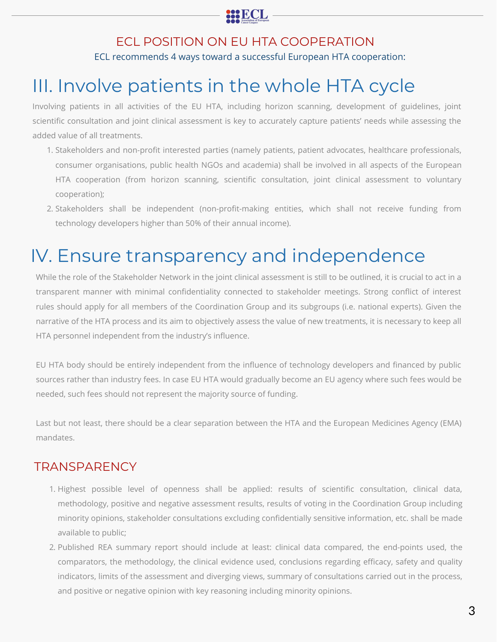

### ECL POSITION ON EU HTA COOPERATION

ECL recommends 4 ways toward a successful European HTA cooperation:

## III. Involve patients in the whole HTA cycle

Involving patients in all activities of the EU HTA, including horizon scanning, development of guidelines, joint scientific consultation and joint clinical assessment is key to accurately capture patients' needs while assessing the added value of all treatments.

- 1. Stakeholders and non-profit interested parties (namely patients, patient advocates, healthcare professionals, consumer organisations, public health NGOs and academia) shall be involved in all aspects of the European HTA cooperation (from horizon scanning, scientific consultation, joint clinical assessment to voluntary cooperation);
- 2. Stakeholders shall be independent (non-profit-making entities, which shall not receive funding from technology developers higher than 50% of their annual income).

### IV. Ensure transparency and independence

While the role of the Stakeholder Network in the joint clinical assessment is still to be outlined, it is crucial to act in a transparent manner with minimal confidentiality connected to stakeholder meetings. Strong conflict of interest rules should apply for all members of the Coordination Group and its subgroups (i.e. national experts). Given the narrative of the HTA process and its aim to objectively assess the value of new treatments, it is necessary to keep all HTA personnel independent from the industry's influence.

EU HTA body should be entirely independent from the influence of technology developers and financed by public sources rather than industry fees. In case EU HTA would gradually become an EU agency where such fees would be needed, such fees should not represent the majority source of funding.

Last but not least, there should be a clear separation between the HTA and the European Medicines Agency (EMA) mandates.

#### **TRANSPARENCY**

- 1. Highest possible level of openness shall be applied: results of scientific consultation, clinical data, methodology, positive and negative assessment results, results of voting in the Coordination Group including minority opinions, stakeholder consultations excluding confidentially sensitive information, etc. shall be made available to public;
- 2. Published REA summary report should include at least: clinical data compared, the end-points used, the comparators, the methodology, the clinical evidence used, conclusions regarding efficacy, safety and quality indicators, limits of the assessment and diverging views, summary of consultations carried out in the process, and positive or negative opinion with key reasoning including minority opinions.